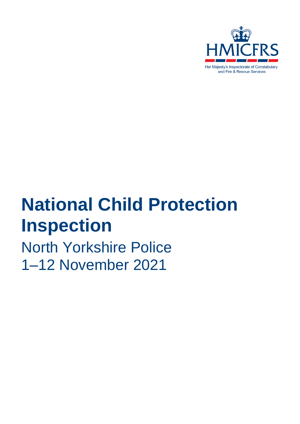

# **National Child Protection Inspection**

North Yorkshire Police 1–12 November 2021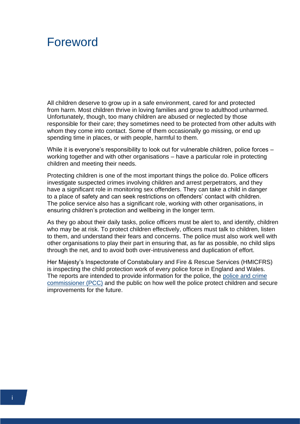# <span id="page-1-0"></span>Foreword

All children deserve to grow up in a safe environment, cared for and protected from harm. Most children thrive in loving families and grow to adulthood unharmed. Unfortunately, though, too many children are abused or neglected by those responsible for their care; they sometimes need to be protected from other adults with whom they come into contact. Some of them occasionally go missing, or end up spending time in places, or with people, harmful to them.

While it is everyone's responsibility to look out for vulnerable children, police forces – working together and with other organisations – have a particular role in protecting children and meeting their needs.

Protecting children is one of the most important things the police do. Police officers investigate suspected crimes involving children and arrest perpetrators, and they have a significant role in monitoring sex offenders. They can take a child in danger to a place of safety and can seek restrictions on offenders' contact with children. The police service also has a significant role, working with other organisations, in ensuring children's protection and wellbeing in the longer term.

As they go about their daily tasks, police officers must be alert to, and identify, children who may be at risk. To protect children effectively, officers must talk to children, listen to them, and understand their fears and concerns. The police must also work well with other organisations to play their part in ensuring that, as far as possible, no child slips through the net, and to avoid both over-intrusiveness and duplication of effort.

Her Majesty's Inspectorate of Constabulary and Fire & Rescue Services (HMICFRS) is inspecting the child protection work of every police force in England and Wales. The reports are intended to provide information for the police, the [police and crime](https://www.justiceinspectorates.gov.uk/hmicfrs/glossary/police-and-crime-commissioner/)  [commissioner \(PCC\)](https://www.justiceinspectorates.gov.uk/hmicfrs/glossary/police-and-crime-commissioner/) and the public on how well the police protect children and secure improvements for the future.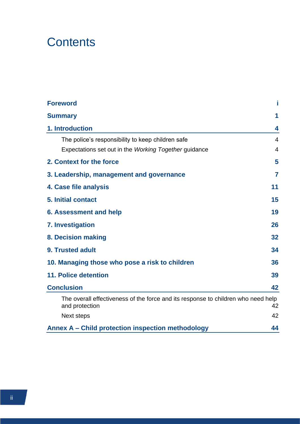# **Contents**

| <b>Foreword</b>                                                                                     |                |
|-----------------------------------------------------------------------------------------------------|----------------|
| <b>Summary</b>                                                                                      | 1              |
| 1. Introduction                                                                                     | 4              |
| The police's responsibility to keep children safe                                                   | 4              |
| Expectations set out in the Working Together guidance                                               | $\overline{4}$ |
| 2. Context for the force                                                                            | 5              |
| 3. Leadership, management and governance                                                            | 7              |
| 4. Case file analysis                                                                               | 11             |
| <b>5. Initial contact</b>                                                                           | 15             |
| <b>6. Assessment and help</b>                                                                       | 19             |
| 7. Investigation                                                                                    | 26             |
| 8. Decision making                                                                                  | 32             |
| 9. Trusted adult                                                                                    | 34             |
| 10. Managing those who pose a risk to children                                                      | 36             |
| <b>11. Police detention</b>                                                                         | 39             |
| <b>Conclusion</b>                                                                                   | 42             |
| The overall effectiveness of the force and its response to children who need help<br>and protection | 42             |
| Next steps                                                                                          | 42             |
| <b>Annex A - Child protection inspection methodology</b>                                            | 44             |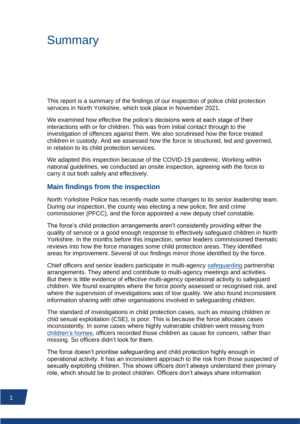# <span id="page-3-0"></span>**Summary**

This report is a summary of the findings of our inspection of police child protection services in North Yorkshire, which took place in November 2021.

We examined how effective the police's decisions were at each stage of their interactions with or for children. This was from initial contact through to the investigation of offences against them. We also scrutinised how the force treated children in custody. And we assessed how the force is structured, led and governed, in relation to its child protection services.

We adapted this inspection because of the COVID-19 pandemic. Working within national guidelines, we conducted an onsite inspection, agreeing with the force to carry it out both safely and effectively.

#### **Main findings from the inspection**

North Yorkshire Police has recently made some changes to its senior leadership team. During our inspection, the county was electing a new police, fire and crime commissioner (PFCC), and the force appointed a new deputy chief constable.

The force's child protection arrangements aren't consistently providing either the quality of service or a good enough response to effectively safeguard children in North Yorkshire. In the months before this inspection, senior leaders commissioned thematic reviews into how the force manages some child protection areas. They identified areas for improvement. Several of our findings mirror those identified by the force.

Chief officers and senior leaders participate in multi-agency [safeguarding](https://www.justiceinspectorates.gov.uk/hmicfrs/glossary/safeguarding/) partnership arrangements. They attend and contribute to multi-agency meetings and activities. But there is little evidence of effective multi-agency operational activity to safeguard children. We found examples where the force poorly assessed or recognised risk, and where the supervision of investigations was of low quality. We also found inconsistent information sharing with other organisations involved in safeguarding children.

The standard of investigations in child protection cases, such as missing children or chid sexual exploitation (CSE), is poor. This is because the force allocates cases inconsistently. In some cases where highly vulnerable children went missing from [children's homes,](https://www.gov.uk/government/publications/how-to-open-a-childrens-home/introduction-to-childrens-homes) officers recorded those children as cause for concern, rather than missing. So officers didn't look for them.

The force doesn't prioritise safeguarding and child protection highly enough in operational activity. It has an inconsistent approach to the risk from those suspected of sexually exploiting children. This shows officers don't always understand their primary role, which should be to protect children. Officers don't always share information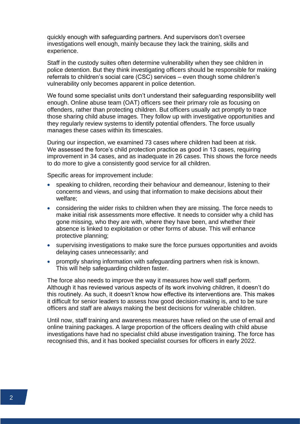quickly enough with safeguarding partners. And supervisors don't oversee investigations well enough, mainly because they lack the training, skills and experience.

Staff in the custody suites often determine vulnerability when they see children in police detention. But they think investigating officers should be responsible for making referrals to children's social care (CSC) services – even though some children's vulnerability only becomes apparent in police detention.

We found some specialist units don't understand their safeguarding responsibility well enough. Online abuse team (OAT) officers see their primary role as focusing on offenders, rather than protecting children. But officers usually act promptly to trace those sharing child abuse images. They follow up with investigative opportunities and they regularly review systems to identify potential offenders. The force usually manages these cases within its timescales.

During our inspection, we examined 73 cases where children had been at risk. We assessed the force's child protection practice as good in 13 cases, requiring improvement in 34 cases, and as inadequate in 26 cases. This shows the force needs to do more to give a consistently good service for all children.

Specific areas for improvement include:

- speaking to children, recording their behaviour and demeanour, listening to their concerns and views, and using that information to make decisions about their welfare;
- considering the wider risks to children when they are missing. The force needs to make initial risk assessments more effective. It needs to consider why a child has gone missing, who they are with, where they have been, and whether their absence is linked to exploitation or other forms of abuse. This will enhance protective planning;
- supervising investigations to make sure the force pursues opportunities and avoids delaying cases unnecessarily; and
- promptly sharing information with safeguarding partners when risk is known. This will help safeguarding children faster.

The force also needs to improve the way it measures how well staff perform. Although it has reviewed various aspects of its work involving children, it doesn't do this routinely. As such, it doesn't know how effective its interventions are. This makes it difficult for senior leaders to assess how good decision-making is, and to be sure officers and staff are always making the best decisions for vulnerable children.

Until now, staff training and awareness measures have relied on the use of email and online training packages. A large proportion of the officers dealing with child abuse investigations have had no specialist child abuse investigation training. The force has recognised this, and it has booked specialist courses for officers in early 2022.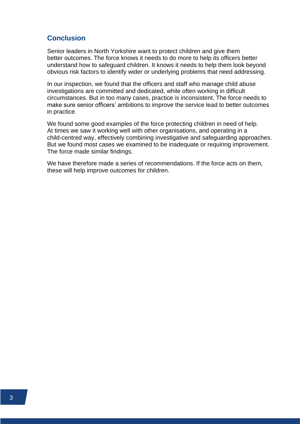### **Conclusion**

Senior leaders in North Yorkshire want to protect children and give them better outcomes. The force knows it needs to do more to help its officers better understand how to safeguard children. It knows it needs to help them look beyond obvious risk factors to identify wider or underlying problems that need addressing.

In our inspection, we found that the officers and staff who manage child abuse investigations are committed and dedicated, while often working in difficult circumstances. But in too many cases, practice is inconsistent. The force needs to make sure senior officers' ambitions to improve the service lead to better outcomes in practice.

We found some good examples of the force protecting children in need of help. At times we saw it working well with other organisations, and operating in a child-centred way, effectively combining investigative and safeguarding approaches. But we found most cases we examined to be inadequate or requiring improvement. The force made similar findings.

We have therefore made a series of recommendations. If the force acts on them, these will help improve outcomes for children.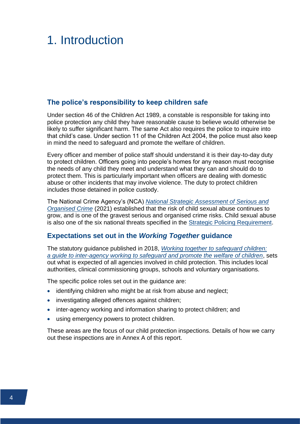# <span id="page-6-0"></span>1. Introduction

#### <span id="page-6-1"></span>**The police's responsibility to keep children safe**

Under section 46 of the Children Act 1989, a constable is responsible for taking into police protection any child they have reasonable cause to believe would otherwise be likely to suffer significant harm. The same Act also requires the police to inquire into that child's case. Under section 11 of the Children Act 2004, the police must also keep in mind the need to safeguard and promote the welfare of children.

Every officer and member of police staff should understand it is their day-to-day duty to protect children. Officers going into people's homes for any reason must recognise the needs of any child they meet and understand what they can and should do to protect them. This is particularly important when officers are dealing with domestic abuse or other incidents that may involve violence. The duty to protect children includes those detained in police custody.

The National Crime Agency's (NCA) *[National Strategic Assessment of Serious and](https://www.nationalcrimeagency.gov.uk/who-we-are/publications/533-national-strategic-assessment-of-serious-and-organised-crime-2021/file)  [Organised Crime](https://www.nationalcrimeagency.gov.uk/who-we-are/publications/533-national-strategic-assessment-of-serious-and-organised-crime-2021/file)* (2021) established that the risk of child sexual abuse continues to grow, and is one of the gravest serious and organised crime risks. Child sexual abuse is also one of the six national threats specified in the [Strategic Policing Requirement.](https://www.gov.uk/government/publications/strategic-policing-requirement)

### <span id="page-6-2"></span>**Expectations set out in the** *Working Together* **guidance**

The statutory guidance published in 2018, *[Working together to safeguard children:](https://www.gov.uk/government/publications/working-together-to-safeguard-children--2)  a [guide to inter-agency working to safeguard and promote the welfare of children](https://www.gov.uk/government/publications/working-together-to-safeguard-children--2)*, sets out what is expected of all agencies involved in child protection. This includes local authorities, clinical commissioning groups, schools and voluntary organisations.

The specific police roles set out in the guidance are:

- identifying children who might be at risk from abuse and neglect;
- investigating alleged offences against children;
- inter-agency working and information sharing to protect children; and
- using emergency powers to protect children.

These areas are the focus of our child protection inspections. Details of how we carry out these inspections are in Annex A of this report.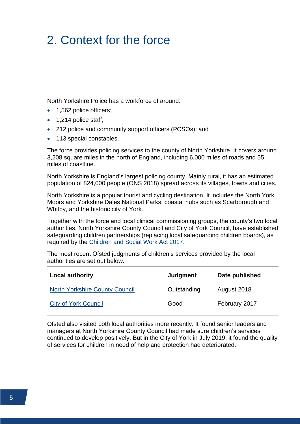# <span id="page-7-0"></span>2. Context for the force

North Yorkshire Police has a workforce of around:

- 1,562 police officers;
- 1,214 police staff:
- 212 police and community support officers (PCSOs); and
- 113 special constables.

The force provides policing services to the county of North Yorkshire. It covers around 3,208 square miles in the north of England, including 6,000 miles of roads and 55 miles of coastline.

North Yorkshire is England's largest policing county. Mainly rural, it has an estimated population of 824,000 people (ONS 2018) spread across its villages, towns and cities.

North Yorkshire is a popular tourist and cycling destination. It includes the North York Moors and Yorkshire Dales National Parks, coastal hubs such as Scarborough and Whitby, and the historic city of York.

Together with the force and local clinical commissioning groups, the county's two local authorities, North Yorkshire County Council and City of York Council, have established safeguarding children partnerships (replacing local safeguarding children boards), as required by the [Children and Social Work Act 2017.](https://www.legislation.gov.uk/ukpga/2017/16/part/1/chapter/2/crossheading/local-arrangements-for-safeguarding-and-promoting-welfare-of-children/enacted)

The most recent Ofsted judgments of children's services provided by the local authorities are set out below.

| <b>Local authority</b>                | Judgment    | Date published |
|---------------------------------------|-------------|----------------|
| <b>North Yorkshire County Council</b> | Outstanding | August 2018    |
| <b>City of York Council</b>           | Good        | February 2017  |

Ofsted also visited both local authorities more recently. It found senior leaders and managers at North Yorkshire County Council had made sure children's services continued to develop positively. But in the City of York in July 2019, it found the quality of services for children in need of help and protection had deteriorated.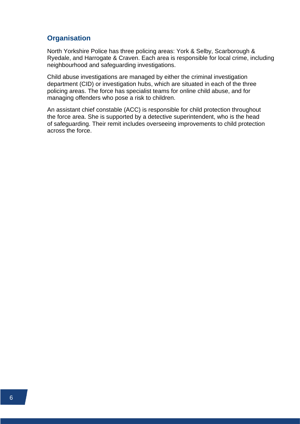### **Organisation**

North Yorkshire Police has three policing areas: York & Selby, Scarborough & Ryedale, and Harrogate & Craven. Each area is responsible for local crime, including neighbourhood and safeguarding investigations.

Child abuse investigations are managed by either the criminal investigation department (CID) or investigation hubs, which are situated in each of the three policing areas. The force has specialist teams for online child abuse, and for managing offenders who pose a risk to children.

An assistant chief constable (ACC) is responsible for child protection throughout the force area. She is supported by a detective superintendent, who is the head of safeguarding. Their remit includes overseeing improvements to child protection across the force.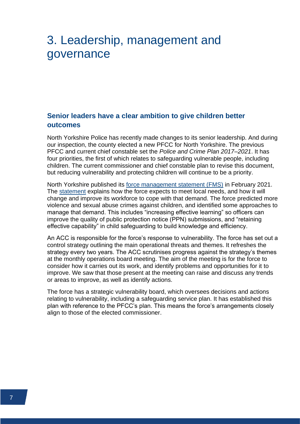# <span id="page-9-0"></span>3. Leadership, management and governance

# **Senior leaders have a clear ambition to give children better outcomes**

North Yorkshire Police has recently made changes to its senior leadership. And during our inspection, the county elected a new PFCC for North Yorkshire. The previous PFCC and current chief constable set the *Police and Crime Plan 2017–2021*. It has four priorities, the first of which relates to safeguarding vulnerable people, including children. The current commissioner and chief constable plan to revise this document, but reducing vulnerability and protecting children will continue to be a priority.

North Yorkshire published its [force management statement \(FMS\)](https://www.justiceinspectorates.gov.uk/hmicfrs/glossary/force-management-statement/) in February 2021. The [statement](https://www.northyorkshire.police.uk/police-forces/north-yorkshire-police/areas/about-us/about-us/force-management-statement/) explains how the force expects to meet local needs, and how it will change and improve its workforce to cope with that demand. The force predicted more violence and sexual abuse crimes against children, and identified some approaches to manage that demand. This includes "increasing effective learning" so officers can improve the quality of public protection notice (PPN) submissions, and "retaining effective capability" in child safeguarding to build knowledge and efficiency.

An ACC is responsible for the force's response to vulnerability. The force has set out a control strategy outlining the main operational threats and themes. It refreshes the strategy every two years. The ACC scrutinises progress against the strategy's themes at the monthly operations board meeting. The aim of the meeting is for the force to consider how it carries out its work, and identify problems and opportunities for it to improve. We saw that those present at the meeting can raise and discuss any trends or areas to improve, as well as identify actions.

The force has a strategic vulnerability board, which oversees decisions and actions relating to vulnerability, including a safeguarding service plan. It has established this plan with reference to the PFCC's plan. This means the force's arrangements closely align to those of the elected commissioner.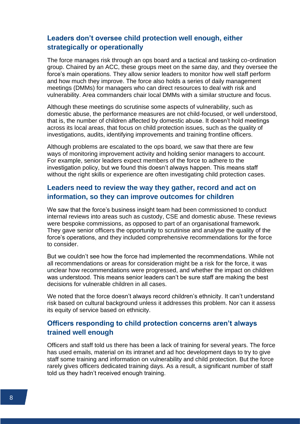### **Leaders don't oversee child protection well enough, either strategically or operationally**

The force manages risk through an ops board and a tactical and tasking co-ordination group. Chaired by an ACC, these groups meet on the same day, and they oversee the force's main operations. They allow senior leaders to monitor how well staff perform and how much they improve. The force also holds a series of daily management meetings (DMMs) for managers who can direct resources to deal with risk and vulnerability. Area commanders chair local DMMs with a similar structure and focus.

Although these meetings do scrutinise some aspects of vulnerability, such as domestic abuse, the performance measures are not child-focused, or well understood, that is, the number of children affected by domestic abuse. It doesn't hold meetings across its local areas, that focus on child protection issues, such as the quality of investigations, audits, identifying improvements and training frontline officers.

Although problems are escalated to the ops board, we saw that there are few ways of monitoring improvement activity and holding senior managers to account. For example, senior leaders expect members of the force to adhere to the investigation policy, but we found this doesn't always happen. This means staff without the right skills or experience are often investigating child protection cases.

### **Leaders need to review the way they gather, record and act on information, so they can improve outcomes for children**

We saw that the force's business insight team had been commissioned to conduct internal reviews into areas such as custody, CSE and domestic abuse. These reviews were bespoke commissions, as opposed to part of an organisational framework. They gave senior officers the opportunity to scrutinise and analyse the quality of the force's operations, and they included comprehensive recommendations for the force to consider.

But we couldn't see how the force had implemented the recommendations. While not all recommendations or areas for consideration might be a risk for the force, it was unclear how recommendations were progressed, and whether the impact on children was understood. This means senior leaders can't be sure staff are making the best decisions for vulnerable children in all cases.

We noted that the force doesn't always record children's ethnicity. It can't understand risk based on cultural background unless it addresses this problem. Nor can it assess its equity of service based on ethnicity.

# **Officers responding to child protection concerns aren't always trained well enough**

Officers and staff told us there has been a lack of training for several years. The force has used emails, material on its intranet and ad hoc development days to try to give staff some training and information on vulnerability and child protection. But the force rarely gives officers dedicated training days. As a result, a significant number of staff told us they hadn't received enough training.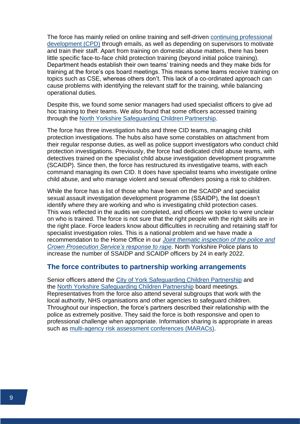The force has mainly relied on online training and self-driven [continuing professional](https://www.justiceinspectorates.gov.uk/hmicfrs/glossary/continuing-professional-development/)  [development \(CPD\)](https://www.justiceinspectorates.gov.uk/hmicfrs/glossary/continuing-professional-development/) through emails, as well as depending on supervisors to motivate and train their staff. Apart from training on domestic abuse matters, there has been little specific face-to-face child protection training (beyond initial police training). Department heads establish their own teams' training needs and they make bids for training at the force's ops board meetings. This means some teams receive training on topics such as CSE, whereas others don't. This lack of a co-ordinated approach can cause problems with identifying the relevant staff for the training, while balancing operational duties.

Despite this, we found some senior managers had used specialist officers to give ad hoc training to their teams. We also found that some officers accessed training through the [North Yorkshire Safeguarding Children Partnership.](https://www.safeguardingchildren.co.uk/)

The force has three investigation hubs and three CID teams, managing child protection investigations. The hubs also have some constables on attachment from their regular response duties, as well as police support investigators who conduct child protection investigations. Previously, the force had dedicated child abuse teams, with detectives trained on the specialist child abuse investigation development programme (SCAIDP). Since then, the force has restructured its investigative teams, with each command managing its own CID. It does have specialist teams who investigate online child abuse, and who manage violent and sexual offenders posing a risk to children.

While the force has a list of those who have been on the SCAIDP and specialist sexual assault investigation development programme (SSAIDP), the list doesn't identify where they are working and who is investigating child protection cases. This was reflected in the audits we completed, and officers we spoke to were unclear on who is trained. The force is not sure that the right people with the right skills are in the right place. Force leaders know about difficulties in recruiting and retaining staff for specialist investigation roles. This is a national problem and we have made a recommendation to the Home Office in our *[Joint thematic inspection of the police and](https://www.justiceinspectorates.gov.uk/hmicfrs/publications/a-joint-thematic-inspection-of-the-police-and-crown-prosecution-services-response-to-rape/)  [Crown Prosecution Service's response to rape](https://www.justiceinspectorates.gov.uk/hmicfrs/publications/a-joint-thematic-inspection-of-the-police-and-crown-prosecution-services-response-to-rape/)*. North Yorkshire Police plans to increase the number of SSAIDP and SCAIDP officers by 24 in early 2022.

#### **The force contributes to partnership working arrangements**

Senior officers attend the [City of York Safeguarding Children Partnership](https://www.saferchildrenyork.org.uk/) and the [North Yorkshire Safeguarding Children Partnership](https://www.safeguardingchildren.co.uk/) board meetings. Representatives from the force also attend several subgroups that work with the local authority, NHS organisations and other agencies to safeguard children. Throughout our inspection, the force's partners described their relationship with the police as extremely positive. They said the force is both responsive and open to professional challenge when appropriate. Information sharing is appropriate in areas such as [multi-agency risk assessment conferences \(MARACs\).](https://www.justiceinspectorates.gov.uk/hmicfrs/glossary/multi-agency-risk-assessment-conference/)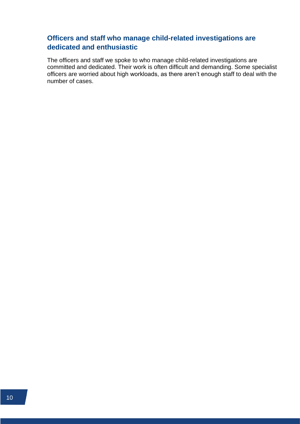# **Officers and staff who manage child-related investigations are dedicated and enthusiastic**

The officers and staff we spoke to who manage child-related investigations are committed and dedicated. Their work is often difficult and demanding. Some specialist officers are worried about high workloads, as there aren't enough staff to deal with the number of cases.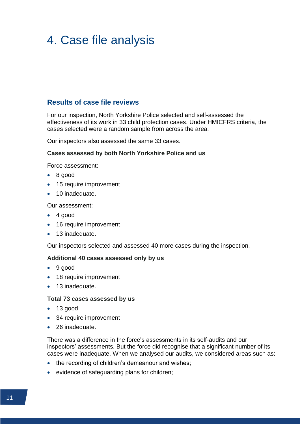# <span id="page-13-0"></span>4. Case file analysis

#### **Results of case file reviews**

For our inspection, North Yorkshire Police selected and self-assessed the effectiveness of its work in 33 child protection cases. Under HMICFRS criteria, the cases selected were a random sample from across the area.

Our inspectors also assessed the same 33 cases.

#### **Cases assessed by both North Yorkshire Police and us**

Force assessment:

- 8 good
- 15 require improvement
- 10 inadequate.

Our assessment:

- 4 good
- 16 require improvement
- 13 inadequate.

Our inspectors selected and assessed 40 more cases during the inspection.

#### **Additional 40 cases assessed only by us**

- 9 good
- 18 require improvement
- 13 inadequate.

#### **Total 73 cases assessed by us**

- 13 good
- 34 require improvement
- 26 inadequate.

There was a difference in the force's assessments in its self-audits and our inspectors' assessments. But the force did recognise that a significant number of its cases were inadequate. When we analysed our audits, we considered areas such as:

- the recording of children's demeanour and wishes;
- evidence of safeguarding plans for children;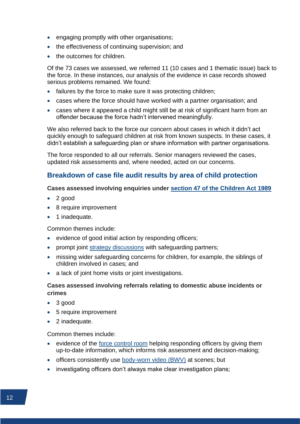- engaging promptly with other organisations;
- the effectiveness of continuing supervision; and
- the outcomes for children.

Of the 73 cases we assessed, we referred 11 (10 cases and 1 thematic issue) back to the force. In these instances, our analysis of the evidence in case records showed serious problems remained. We found:

- failures by the force to make sure it was protecting children;
- cases where the force should have worked with a partner organisation; and
- cases where it appeared a child might still be at risk of significant harm from an offender because the force hadn't intervened meaningfully.

We also referred back to the force our concern about cases in which it didn't act quickly enough to safeguard children at risk from known suspects. In these cases, it didn't establish a safeguarding plan or share information with partner organisations.

The force responded to all our referrals. Senior managers reviewed the cases, updated risk assessments and, where needed, acted on our concerns.

#### **Breakdown of case file audit results by area of child protection**

#### **Cases assessed involving enquiries under [section 47 of the Children Act 1989](https://www.legislation.gov.uk/ukpga/1989/41/section/47)**

- 2 good
- 8 require improvement
- 1 inadequate.

#### Common themes include:

- evidence of good initial action by responding officers;
- prompt joint [strategy discussions](https://www.justiceinspectorates.gov.uk/hmicfrs/glossary/strategy-discussions/) with safeguarding partners;
- missing wider safeguarding concerns for children, for example, the siblings of children involved in cases; and
- a lack of joint home visits or joint investigations.

#### **Cases assessed involving referrals relating to domestic abuse incidents or crimes**

- 3 good
- 5 require improvement
- 2 inadequate.

#### Common themes include:

- evidence of the [force control room](https://www.justiceinspectorates.gov.uk/hmicfrs/glossary/force-control-room/) helping responding officers by giving them up-to-date information, which informs risk assessment and decision-making;
- officers consistently use [body-worn video \(BWV\)](https://www.justiceinspectorates.gov.uk/hmicfrs/glossary/body-worn-video/) at scenes; but
- investigating officers don't always make clear investigation plans;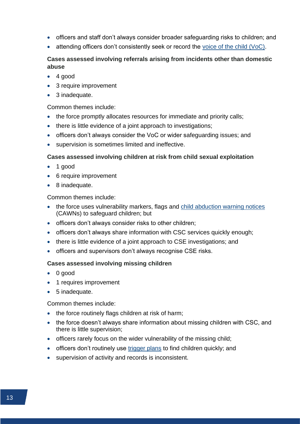- officers and staff don't always consider broader safeguarding risks to children; and
- attending officers don't consistently seek or record the [voice of the child \(VoC\).](https://www.justiceinspectorates.gov.uk/hmicfrs/glossary/voice-of-the-child/)

#### **Cases assessed involving referrals arising from incidents other than domestic abuse**

- $\bullet$  4 good
- 3 require improvement
- 3 inadequate.

#### Common themes include:

- the force promptly allocates resources for immediate and priority calls;
- there is little evidence of a joint approach to investigations;
- officers don't always consider the VoC or wider safeguarding issues; and
- supervision is sometimes limited and ineffective.

#### **Cases assessed involving children at risk from child sexual exploitation**

- 1 good
- 6 require improvement
- 8 inadequate.

Common themes include:

- the force uses vulnerability markers, flags and [child abduction warning notices](https://www.justiceinspectorates.gov.uk/hmicfrs/glossary/child-abduction-warning-notice/) (CAWNs) to safeguard children; but
- officers don't always consider risks to other children;
- officers don't always share information with CSC services quickly enough;
- there is little evidence of a joint approach to CSE investigations; and
- officers and supervisors don't always recognise CSE risks.

#### **Cases assessed involving missing children**

- 0 good
- 1 requires improvement
- 5 inadequate.

#### Common themes include:

- the force routinely flags children at risk of harm;
- the force doesn't always share information about missing children with CSC, and there is little supervision;
- officers rarely focus on the wider vulnerability of the missing child;
- officers don't routinely use [trigger plans](https://www.justiceinspectorates.gov.uk/hmicfrs/glossary/trigger-plan/) to find children quickly; and
- supervision of activity and records is inconsistent.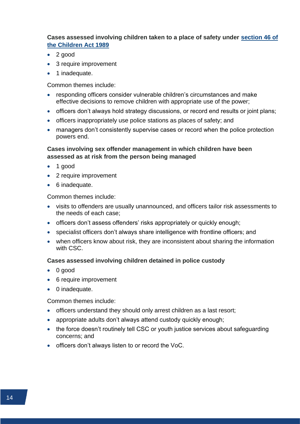#### **Cases assessed involving children taken to a place of safety under [section 46 of](https://www.legislation.gov.uk/ukpga/1989/41/section/46)  [the Children Act 1989](https://www.legislation.gov.uk/ukpga/1989/41/section/46)**

- 2 good
- 3 require improvement
- 1 inadequate.

Common themes include:

- responding officers consider vulnerable children's circumstances and make effective decisions to remove children with appropriate use of the power;
- officers don't always hold strategy discussions, or record end results or joint plans;
- officers inappropriately use police stations as places of safety; and
- managers don't consistently supervise cases or record when the police protection powers end.

#### **Cases involving sex offender management in which children have been assessed as at risk from the person being managed**

- 1 good
- 2 require improvement
- 6 inadequate.

Common themes include:

- visits to offenders are usually unannounced, and officers tailor risk assessments to the needs of each case;
- officers don't assess offenders' risks appropriately or quickly enough;
- specialist officers don't always share intelligence with frontline officers; and
- when officers know about risk, they are inconsistent about sharing the information with CSC.

#### **Cases assessed involving children detained in police custody**

- 0 good
- 6 require improvement
- 0 inadequate.

#### Common themes include:

- officers understand they should only arrest children as a last resort;
- appropriate adults don't always attend custody quickly enough;
- the force doesn't routinely tell CSC or youth justice services about safeguarding concerns; and
- officers don't always listen to or record the VoC.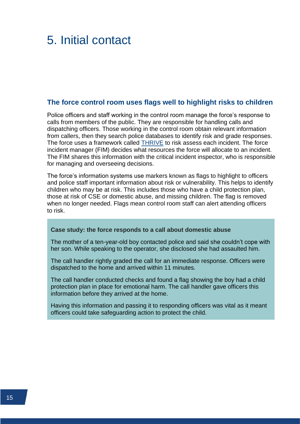# <span id="page-17-0"></span>5. Initial contact

#### **The force control room uses flags well to highlight risks to children**

Police officers and staff working in the control room manage the force's response to calls from members of the public. They are responsible for handling calls and dispatching officers. Those working in the control room obtain relevant information from callers, then they search police databases to identify risk and grade responses. The force uses a framework called **THRIVE** to risk assess each incident. The force incident manager (FIM) decides what resources the force will allocate to an incident. The FIM shares this information with the critical incident inspector, who is responsible for managing and overseeing decisions.

The force's information systems use markers known as flags to highlight to officers and police staff important information about risk or vulnerability. This helps to identify children who may be at risk. This includes those who have a child protection plan, those at risk of CSE or domestic abuse, and missing children. The flag is removed when no longer needed. Flags mean control room staff can alert attending officers to risk.

#### **Case study: the force responds to a call about domestic abuse**

The mother of a ten-year-old boy contacted police and said she couldn't cope with her son. While speaking to the operator, she disclosed she had assaulted him.

The call handler rightly graded the call for an immediate response. Officers were dispatched to the home and arrived within 11 minutes.

The call handler conducted checks and found a flag showing the boy had a child protection plan in place for emotional harm. The call handler gave officers this information before they arrived at the home.

Having this information and passing it to responding officers was vital as it meant officers could take safeguarding action to protect the child.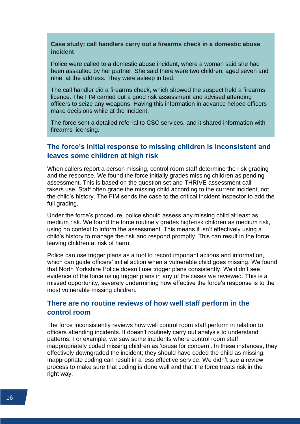#### **Case study: call handlers carry out a firearms check in a domestic abuse incident**

Police were called to a domestic abuse incident, where a woman said she had been assaulted by her partner. She said there were two children, aged seven and nine, at the address. They were asleep in bed.

The call handler did a firearms check, which showed the suspect held a firearms licence. The FIM carried out a good risk assessment and advised attending officers to seize any weapons. Having this information in advance helped officers make decisions while at the incident.

The force sent a detailed referral to CSC services, and it shared information with firearms licensing.

### **The force's initial response to missing children is inconsistent and leaves some children at high risk**

When callers report a person missing, control room staff determine the risk grading and the response. We found the force initially grades missing children as pending assessment. This is based on the question set and THRIVE assessment call takers use. Staff often grade the missing child according to the current incident, not the child's history. The FIM sends the case to the critical incident inspector to add the full grading.

Under the force's procedure, police should assess any missing child at least as medium risk. We found the force routinely grades high-risk children as medium risk, using no context to inform the assessment. This means it isn't effectively using a child's history to manage the risk and respond promptly. This can result in the force leaving children at risk of harm.

Police can use trigger plans as a tool to record important actions and information, which can guide officers' initial action when a vulnerable child goes missing. We found that North Yorkshire Police doesn't use trigger plans consistently. We didn't see evidence of the force using trigger plans in any of the cases we reviewed. This is a missed opportunity, severely undermining how effective the force's response is to the most vulnerable missing children.

#### **There are no routine reviews of how well staff perform in the control room**

The force inconsistently reviews how well control room staff perform in relation to officers attending incidents. It doesn't routinely carry out analysis to understand patterns. For example, we saw some incidents where control room staff inappropriately coded missing children as 'cause for concern'. In these instances, they effectively downgraded the incident; they should have coded the child as missing. Inappropriate coding can result in a less effective service. We didn't see a review process to make sure that coding is done well and that the force treats risk in the right way.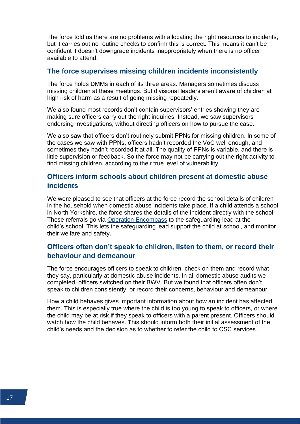The force told us there are no problems with allocating the right resources to incidents, but it carries out no routine checks to confirm this is correct. This means it can't be confident it doesn't downgrade incidents inappropriately when there is no officer available to attend.

#### **The force supervises missing children incidents inconsistently**

The force holds DMMs in each of its three areas. Managers sometimes discuss missing children at these meetings. But divisional leaders aren't aware of children at high risk of harm as a result of going missing repeatedly.

We also found most records don't contain supervisors' entries showing they are making sure officers carry out the right inquiries. Instead, we saw supervisors endorsing investigations, without directing officers on how to pursue the case.

We also saw that officers don't routinely submit PPNs for missing children. In some of the cases we saw with PPNs, officers hadn't recorded the VoC well enough, and sometimes they hadn't recorded it at all. The quality of PPNs is variable, and there is little supervision or feedback. So the force may not be carrying out the right activity to find missing children, according to their true level of vulnerability.

# **Officers inform schools about children present at domestic abuse incidents**

We were pleased to see that officers at the force record the school details of children in the household when domestic abuse incidents take place. If a child attends a school in North Yorkshire, the force shares the details of the incident directly with the school. These referrals go via [Operation Encompass](https://www.justiceinspectorates.gov.uk/hmicfrs/glossary/op-encompass/) to the safeguarding lead at the child's school. This lets the safeguarding lead support the child at school, and monitor their welfare and safety.

# **Officers often don't speak to children, listen to them, or record their behaviour and demeanour**

The force encourages officers to speak to children, check on them and record what they say, particularly at domestic abuse incidents. In all domestic abuse audits we completed, officers switched on their BWV. But we found that officers often don't speak to children consistently, or record their concerns, behaviour and demeanour.

How a child behaves gives important information about how an incident has affected them. This is especially true where the child is too young to speak to officers, or where the child may be at risk if they speak to officers with a parent present. Officers should watch how the child behaves. This should inform both their initial assessment of the child's needs and the decision as to whether to refer the child to CSC services.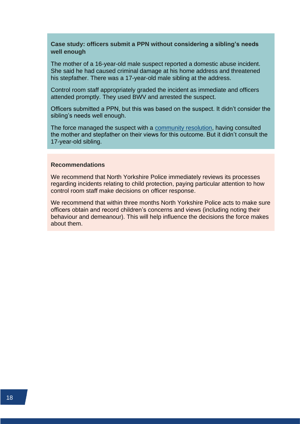#### **Case study: officers submit a PPN without considering a sibling's needs well enough**

The mother of a 16-year-old male suspect reported a domestic abuse incident. She said he had caused criminal damage at his home address and threatened his stepfather. There was a 17-year-old male sibling at the address.

Control room staff appropriately graded the incident as immediate and officers attended promptly. They used BWV and arrested the suspect.

Officers submitted a PPN, but this was based on the suspect. It didn't consider the sibling's needs well enough.

The force managed the suspect with a [community resolution,](https://www.justiceinspectorates.gov.uk/hmicfrs/glossary/community-resolution/) having consulted the mother and stepfather on their views for this outcome. But it didn't consult the 17-year-old sibling.

#### **Recommendations**

We recommend that North Yorkshire Police immediately reviews its processes regarding incidents relating to child protection, paying particular attention to how control room staff make decisions on officer response.

We recommend that within three months North Yorkshire Police acts to make sure officers obtain and record children's concerns and views (including noting their behaviour and demeanour). This will help influence the decisions the force makes about them.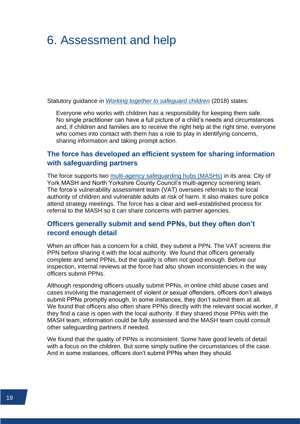# <span id="page-21-0"></span>6. Assessment and help

Statutory guidance in *[Working together to safeguard children](https://www.gov.uk/government/publications/working-together-to-safeguard-children--2)* (2018) states:

Everyone who works with children has a responsibility for keeping them safe. No single practitioner can have a full picture of a child's needs and circumstances and, if children and families are to receive the right help at the right time, everyone who comes into contact with them has a role to play in identifying concerns, sharing information and taking prompt action.

# **The force has developed an efficient system for sharing information with safeguarding partners**

The force supports two [multi-agency safeguarding hubs \(MASHs\)](https://www.justiceinspectorates.gov.uk/hmicfrs/glossary/multi-agency-safeguarding-hub-mash/) in its area: City of York MASH and North Yorkshire County Council's multi-agency screening team. The force's vulnerability assessment team (VAT) oversees referrals to the local authority of children and vulnerable adults at risk of harm. It also makes sure police attend strategy meetings. The force has a clear and well-established process for referral to the MASH so it can share concerns with partner agencies.

### **Officers generally submit and send PPNs, but they often don't record enough detail**

When an officer has a concern for a child, they submit a PPN. The VAT screens the PPN before sharing it with the local authority. We found that officers generally complete and send PPNs, but the quality is often not good enough. Before our inspection, internal reviews at the force had also shown inconsistencies in the way officers submit PPNs.

Although responding officers usually submit PPNs, in online child abuse cases and cases involving the management of violent or sexual offenders, officers don't always submit PPNs promptly enough. In some instances, they don't submit them at all. We found that officers also often share PPNs directly with the relevant social worker, if they find a case is open with the local authority. If they shared those PPNs with the MASH team, information could be fully assessed and the MASH team could consult other safeguarding partners if needed.

We found that the quality of PPNs is inconsistent. Some have good levels of detail with a focus on the children. But some simply outline the circumstances of the case. And in some instances, officers don't submit PPNs when they should.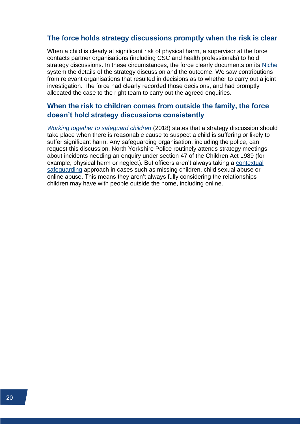#### **The force holds strategy discussions promptly when the risk is clear**

When a child is clearly at significant risk of physical harm, a supervisor at the force contacts partner organisations (including CSC and health professionals) to hold strategy discussions. In these circumstances, the force clearly documents on its [Niche](https://www.justiceinspectorates.gov.uk/hmicfrs/glossary/niche/) system the details of the strategy discussion and the outcome. We saw contributions from relevant organisations that resulted in decisions as to whether to carry out a joint investigation. The force had clearly recorded those decisions, and had promptly allocated the case to the right team to carry out the agreed enquiries.

# **When the risk to children comes from outside the family, the force doesn't hold strategy discussions consistently**

*[Working together to safeguard children](https://www.gov.uk/government/publications/working-together-to-safeguard-children--2)* (2018) states that a strategy discussion should take place when there is reasonable cause to suspect a child is suffering or likely to suffer significant harm. Any safeguarding organisation, including the police, can request this discussion. North Yorkshire Police routinely attends strategy meetings about incidents needing an enquiry under section 47 of the Children Act 1989 (for example, physical harm or neglect). But officers aren't always taking a [contextual](https://www.justiceinspectorates.gov.uk/hmicfrs/glossary/contextual-safeguarding/)  [safeguarding](https://www.justiceinspectorates.gov.uk/hmicfrs/glossary/contextual-safeguarding/) approach in cases such as missing children, child sexual abuse or online abuse. This means they aren't always fully considering the relationships children may have with people outside the home, including online.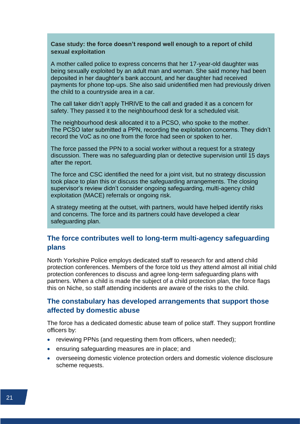#### **Case study: the force doesn't respond well enough to a report of child sexual exploitation**

A mother called police to express concerns that her 17-year-old daughter was being sexually exploited by an adult man and woman. She said money had been deposited in her daughter's bank account, and her daughter had received payments for phone top-ups. She also said unidentified men had previously driven the child to a countryside area in a car.

The call taker didn't apply THRIVE to the call and graded it as a concern for safety. They passed it to the neighbourhood desk for a scheduled visit.

The neighbourhood desk allocated it to a PCSO, who spoke to the mother. The PCSO later submitted a PPN, recording the exploitation concerns. They didn't record the VoC as no one from the force had seen or spoken to her.

The force passed the PPN to a social worker without a request for a strategy discussion. There was no safeguarding plan or detective supervision until 15 days after the report.

The force and CSC identified the need for a joint visit, but no strategy discussion took place to plan this or discuss the safeguarding arrangements. The closing supervisor's review didn't consider ongoing safeguarding, multi-agency child exploitation (MACE) referrals or ongoing risk.

A strategy meeting at the outset, with partners, would have helped identify risks and concerns. The force and its partners could have developed a clear safeguarding plan.

### **The force contributes well to long-term multi-agency safeguarding plans**

North Yorkshire Police employs dedicated staff to research for and attend child protection conferences. Members of the force told us they attend almost all initial child protection conferences to discuss and agree long-term safeguarding plans with partners. When a child is made the subject of a child protection plan, the force flags this on Niche, so staff attending incidents are aware of the risks to the child.

### **The constabulary has developed arrangements that support those affected by domestic abuse**

The force has a dedicated domestic abuse team of police staff. They support frontline officers by:

- reviewing PPNs (and requesting them from officers, when needed);
- ensuring safeguarding measures are in place; and
- overseeing domestic violence protection orders and domestic violence disclosure scheme requests.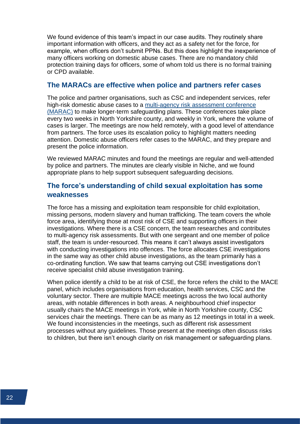We found evidence of this team's impact in our case audits. They routinely share important information with officers, and they act as a safety net for the force, for example, when officers don't submit PPNs. But this does highlight the inexperience of many officers working on domestic abuse cases. There are no mandatory child protection training days for officers, some of whom told us there is no formal training or CPD available.

#### **The MARACs are effective when police and partners refer cases**

The police and partner organisations, such as CSC and independent services, refer high-risk domestic abuse cases to a [multi-agency risk assessment conference](https://www.justiceinspectorates.gov.uk/hmicfrs/glossary/multi-agency-risk-assessment-conference/)  [\(MARAC\)](https://www.justiceinspectorates.gov.uk/hmicfrs/glossary/multi-agency-risk-assessment-conference/) to make longer-term safeguarding plans. These conferences take place every two weeks in North Yorkshire county, and weekly in York, where the volume of cases is larger. The meetings are now held remotely, with a good level of attendance from partners. The force uses its escalation policy to highlight matters needing attention. Domestic abuse officers refer cases to the MARAC, and they prepare and present the police information.

We reviewed MARAC minutes and found the meetings are regular and well-attended by police and partners. The minutes are clearly visible in Niche, and we found appropriate plans to help support subsequent safeguarding decisions.

# **The force's understanding of child sexual exploitation has some weaknesses**

The force has a missing and exploitation team responsible for child exploitation, missing persons, modern slavery and human trafficking. The team covers the whole force area, identifying those at most risk of CSE and supporting officers in their investigations. Where there is a CSE concern, the team researches and contributes to multi-agency risk assessments. But with one sergeant and one member of police staff, the team is under-resourced. This means it can't always assist investigators with conducting investigations into offences. The force allocates CSE investigations in the same way as other child abuse investigations, as the team primarily has a co-ordinating function. We saw that teams carrying out CSE investigations don't receive specialist child abuse investigation training.

When police identify a child to be at risk of CSE, the force refers the child to the MACE panel, which includes organisations from education, health services, CSC and the voluntary sector. There are multiple MACE meetings across the two local authority areas, with notable differences in both areas. A neighbourhood chief inspector usually chairs the MACE meetings in York, while in North Yorkshire county, CSC services chair the meetings. There can be as many as 12 meetings in total in a week. We found inconsistencies in the meetings, such as different risk assessment processes without any guidelines. Those present at the meetings often discuss risks to children, but there isn't enough clarity on risk management or safeguarding plans.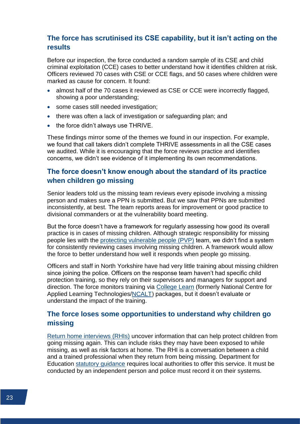# **The force has scrutinised its CSE capability, but it isn't acting on the results**

Before our inspection, the force conducted a random sample of its CSE and child criminal exploitation (CCE) cases to better understand how it identifies children at risk. Officers reviewed 70 cases with CSE or CCE flags, and 50 cases where children were marked as cause for concern. It found:

- almost half of the 70 cases it reviewed as CSE or CCE were incorrectly flagged, showing a poor understanding;
- some cases still needed investigation;
- there was often a lack of investigation or safeguarding plan; and
- the force didn't always use THRIVE.

These findings mirror some of the themes we found in our inspection. For example, we found that call takers didn't complete THRIVE assessments in all the CSE cases we audited. While it is encouraging that the force reviews practice and identifies concerns, we didn't see evidence of it implementing its own recommendations.

# **The force doesn't know enough about the standard of its practice when children go missing**

Senior leaders told us the missing team reviews every episode involving a missing person and makes sure a PPN is submitted. But we saw that PPNs are submitted inconsistently, at best. The team reports areas for improvement or good practice to divisional commanders or at the vulnerability board meeting.

But the force doesn't have a framework for regularly assessing how good its overall practice is in cases of missing children. Although strategic responsibility for missing people lies with the [protecting vulnerable people \(PVP\)](https://www.justiceinspectorates.gov.uk/hmicfrs/glossary/protecting-vulnerable-people-pvp/) team, we didn't find a system for consistently reviewing cases involving missing children. A framework would allow the force to better understand how well it responds when people go missing.

Officers and staff in North Yorkshire have had very little training about missing children since joining the police. Officers on the response team haven't had specific child protection training, so they rely on their supervisors and managers for support and direction. The force monitors training via [College Learn](https://www.college.police.uk/article/introducing-college-learn-for-everyone-across-policing) (formerly National Centre for Applied Learning Technologies[/NCALT\)](https://www.justiceinspectorates.gov.uk/hmicfrs/glossary/national-centre-applied-learning/) packages, but it doesn't evaluate or understand the impact of the training.

### **The force loses some opportunities to understand why children go missing**

[Return home interviews \(RHIs\)](https://www.justiceinspectorates.gov.uk/hmicfrs/glossary/return-home-interviews/) uncover information that can help protect children from going missing again. This can include risks they may have been exposed to while missing, as well as risk factors at home. The RHI is a conversation between a child and a trained professional when they return from being missing. Department for Education [statutory guidance](https://www.gov.uk/government/publications/children-who-run-away-or-go-missing-from-home-or-care) requires local authorities to offer this service. It must be conducted by an independent person and police must record it on their systems.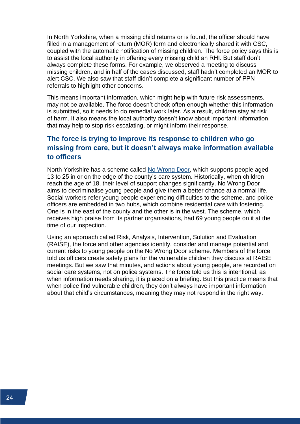In North Yorkshire, when a missing child returns or is found, the officer should have filled in a management of return (MOR) form and electronically shared it with CSC, coupled with the automatic notification of missing children. The force policy says this is to assist the local authority in offering every missing child an RHI. But staff don't always complete these forms. For example, we observed a meeting to discuss missing children, and in half of the cases discussed, staff hadn't completed an MOR to alert CSC. We also saw that staff didn't complete a significant number of PPN referrals to highlight other concerns.

This means important information, which might help with future risk assessments, may not be available. The force doesn't check often enough whether this information is submitted, so it needs to do remedial work later. As a result, children stay at risk of harm. It also means the local authority doesn't know about important information that may help to stop risk escalating, or might inform their response.

# **The force is trying to improve its response to children who go missing from care, but it doesn't always make information available to officers**

North Yorkshire has a scheme called [No Wrong Door,](https://www.northyorks.gov.uk/no-wrong-door) which supports people aged 13 to 25 in or on the edge of the county's care system. Historically, when children reach the age of 18, their level of support changes significantly. No Wrong Door aims to decriminalise young people and give them a better chance at a normal life. Social workers refer young people experiencing difficulties to the scheme, and police officers are embedded in two hubs, which combine residential care with fostering. One is in the east of the county and the other is in the west. The scheme, which receives high praise from its partner organisations, had 69 young people on it at the time of our inspection.

Using an approach called Risk, Analysis, Intervention, Solution and Evaluation (RAISE), the force and other agencies identify, consider and manage potential and current risks to young people on the No Wrong Door scheme. Members of the force told us officers create safety plans for the vulnerable children they discuss at RAISE meetings. But we saw that minutes, and actions about young people, are recorded on social care systems, not on police systems. The force told us this is intentional, as when information needs sharing, it is placed on a briefing. But this practice means that when police find vulnerable children, they don't always have important information about that child's circumstances, meaning they may not respond in the right way.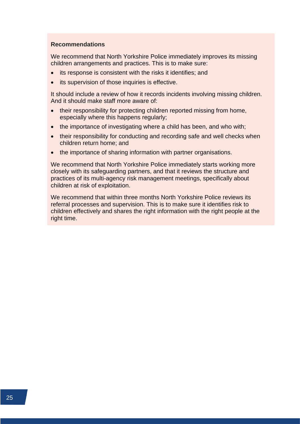#### **Recommendations**

We recommend that North Yorkshire Police immediately improves its missing children arrangements and practices. This is to make sure:

- its response is consistent with the risks it identifies; and
- its supervision of those inquiries is effective.

It should include a review of how it records incidents involving missing children. And it should make staff more aware of:

- their responsibility for protecting children reported missing from home, especially where this happens regularly;
- the importance of investigating where a child has been, and who with;
- their responsibility for conducting and recording safe and well checks when children return home; and
- the importance of sharing information with partner organisations.

We recommend that North Yorkshire Police immediately starts working more closely with its safeguarding partners, and that it reviews the structure and practices of its multi-agency risk management meetings, specifically about children at risk of exploitation.

We recommend that within three months North Yorkshire Police reviews its referral processes and supervision. This is to make sure it identifies risk to children effectively and shares the right information with the right people at the right time.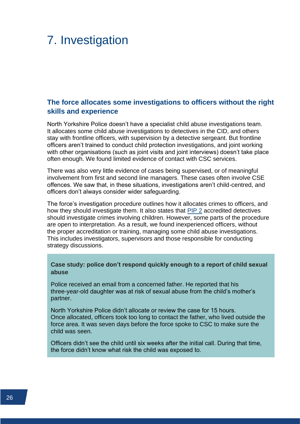# <span id="page-28-0"></span>7. Investigation

# **The force allocates some investigations to officers without the right skills and experience**

North Yorkshire Police doesn't have a specialist child abuse investigations team. It allocates some child abuse investigations to detectives in the CID, and others stay with frontline officers, with supervision by a detective sergeant. But frontline officers aren't trained to conduct child protection investigations, and joint working with other organisations (such as joint visits and joint interviews) doesn't take place often enough. We found limited evidence of contact with CSC services.

There was also very little evidence of cases being supervised, or of meaningful involvement from first and second line managers. These cases often involve CSE offences. We saw that, in these situations, investigations aren't child-centred, and officers don't always consider wider safeguarding.

The force's investigation procedure outlines how it allocates crimes to officers, and how they should investigate them. It also states that [PIP 2](https://www.justiceinspectorates.gov.uk/hmicfrs/glossary/professionalising-investigations-programme/) accredited detectives should investigate crimes involving children. However, some parts of the procedure are open to interpretation. As a result, we found inexperienced officers, without the proper accreditation or training, managing some child abuse investigations. This includes investigators, supervisors and those responsible for conducting strategy discussions.

**Case study: police don't respond quickly enough to a report of child sexual abuse**

Police received an email from a concerned father. He reported that his three-year-old daughter was at risk of sexual abuse from the child's mother's partner.

North Yorkshire Police didn't allocate or review the case for 15 hours. Once allocated, officers took too long to contact the father, who lived outside the force area. It was seven days before the force spoke to CSC to make sure the child was seen.

Officers didn't see the child until six weeks after the initial call. During that time, the force didn't know what risk the child was exposed to.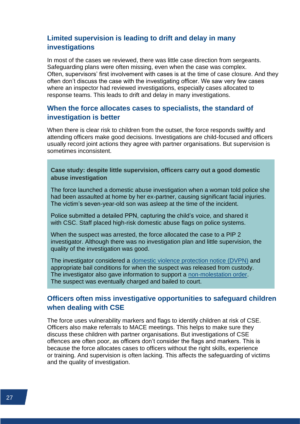# **Limited supervision is leading to drift and delay in many investigations**

In most of the cases we reviewed, there was little case direction from sergeants. Safeguarding plans were often missing, even when the case was complex. Often, supervisors' first involvement with cases is at the time of case closure. And they often don't discuss the case with the investigating officer. We saw very few cases where an inspector had reviewed investigations, especially cases allocated to response teams. This leads to drift and delay in many investigations.

# **When the force allocates cases to specialists, the standard of investigation is better**

When there is clear risk to children from the outset, the force responds swiftly and attending officers make good decisions. Investigations are child-focused and officers usually record joint actions they agree with partner organisations. But supervision is sometimes inconsistent.

#### **Case study: despite little supervision, officers carry out a good domestic abuse investigation**

The force launched a domestic abuse investigation when a woman told police she had been assaulted at home by her ex-partner, causing significant facial injuries. The victim's seven-year-old son was asleep at the time of the incident.

Police submitted a detailed PPN, capturing the child's voice, and shared it with CSC. Staff placed high-risk domestic abuse flags on police systems.

When the suspect was arrested, the force allocated the case to a PIP 2 investigator. Although there was no investigation plan and little supervision, the quality of the investigation was good.

The investigator considered a [domestic violence protection notice \(DVPN\)](https://www.justiceinspectorates.gov.uk/hmicfrs/glossary/domestic-violence-protection-notice/) and appropriate bail conditions for when the suspect was released from custody. The investigator also gave information to support a [non-molestation order.](https://www.justiceinspectorates.gov.uk/hmicfrs/glossary/non-molestation-order/) The suspect was eventually charged and bailed to court.

#### **Officers often miss investigative opportunities to safeguard children when dealing with CSE**

The force uses vulnerability markers and flags to identify children at risk of CSE. Officers also make referrals to MACE meetings. This helps to make sure they discuss these children with partner organisations. But investigations of CSE offences are often poor, as officers don't consider the flags and markers. This is because the force allocates cases to officers without the right skills, experience or training. And supervision is often lacking. This affects the safeguarding of victims and the quality of investigation.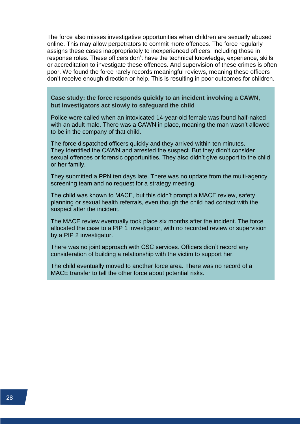The force also misses investigative opportunities when children are sexually abused online. This may allow perpetrators to commit more offences. The force regularly assigns these cases inappropriately to inexperienced officers, including those in response roles. These officers don't have the technical knowledge, experience, skills or accreditation to investigate these offences. And supervision of these crimes is often poor. We found the force rarely records meaningful reviews, meaning these officers don't receive enough direction or help. This is resulting in poor outcomes for children.

**Case study: the force responds quickly to an incident involving a CAWN, but investigators act slowly to safeguard the child**

Police were called when an intoxicated 14-year-old female was found half-naked with an adult male. There was a CAWN in place, meaning the man wasn't allowed to be in the company of that child.

The force dispatched officers quickly and they arrived within ten minutes. They identified the CAWN and arrested the suspect. But they didn't consider sexual offences or forensic opportunities. They also didn't give support to the child or her family.

They submitted a PPN ten days late. There was no update from the multi-agency screening team and no request for a strategy meeting.

The child was known to MACE, but this didn't prompt a MACE review, safety planning or sexual health referrals, even though the child had contact with the suspect after the incident.

The MACE review eventually took place six months after the incident. The force allocated the case to a PIP 1 investigator, with no recorded review or supervision by a PIP 2 investigator.

There was no joint approach with CSC services. Officers didn't record any consideration of building a relationship with the victim to support her.

The child eventually moved to another force area. There was no record of a MACE transfer to tell the other force about potential risks.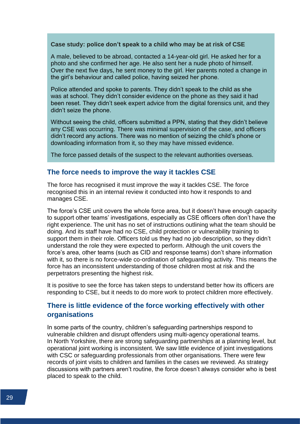#### **Case study: police don't speak to a child who may be at risk of CSE**

A male, believed to be abroad, contacted a 14-year-old girl. He asked her for a photo and she confirmed her age. He also sent her a nude photo of himself. Over the next five days, he sent money to the girl. Her parents noted a change in the girl's behaviour and called police, having seized her phone.

Police attended and spoke to parents. They didn't speak to the child as she was at school. They didn't consider evidence on the phone as they said it had been reset. They didn't seek expert advice from the digital forensics unit, and they didn't seize the phone.

Without seeing the child, officers submitted a PPN, stating that they didn't believe any CSE was occurring. There was minimal supervision of the case, and officers didn't record any actions. There was no mention of seizing the child's phone or downloading information from it, so they may have missed evidence.

The force passed details of the suspect to the relevant authorities overseas.

#### **The force needs to improve the way it tackles CSE**

The force has recognised it must improve the way it tackles CSE. The force recognised this in an internal review it conducted into how it responds to and manages CSE.

The force's CSE unit covers the whole force area, but it doesn't have enough capacity to support other teams' investigations, especially as CSE officers often don't have the right experience. The unit has no set of instructions outlining what the team should be doing. And its staff have had no CSE, child protection or vulnerability training to support them in their role. Officers told us they had no job description, so they didn't understand the role they were expected to perform. Although the unit covers the force's area, other teams (such as CID and response teams) don't share information with it, so there is no force-wide co-ordination of safeguarding activity. This means the force has an inconsistent understanding of those children most at risk and the perpetrators presenting the highest risk.

It is positive to see the force has taken steps to understand better how its officers are responding to CSE, but it needs to do more work to protect children more effectively.

### **There is little evidence of the force working effectively with other organisations**

In some parts of the country, children's safeguarding partnerships respond to vulnerable children and disrupt offenders using multi-agency operational teams. In North Yorkshire, there are strong safeguarding partnerships at a planning level, but operational joint working is inconsistent. We saw little evidence of joint investigations with CSC or safeguarding professionals from other organisations. There were few records of joint visits to children and families in the cases we reviewed. As strategy discussions with partners aren't routine, the force doesn't always consider who is best placed to speak to the child.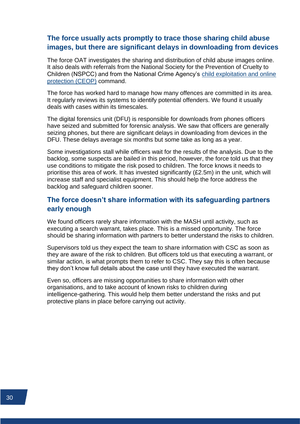### **The force usually acts promptly to trace those sharing child abuse images, but there are significant delays in downloading from devices**

The force OAT investigates the sharing and distribution of child abuse images online. It also deals with referrals from the National Society for the Prevention of Cruelty to Children (NSPCC) and from the National Crime Agency's [child exploitation and online](https://www.justiceinspectorates.gov.uk/hmicfrs/glossary/child-exploitation-online-protection/)  [protection \(CEOP\)](https://www.justiceinspectorates.gov.uk/hmicfrs/glossary/child-exploitation-online-protection/) command.

The force has worked hard to manage how many offences are committed in its area. It regularly reviews its systems to identify potential offenders. We found it usually deals with cases within its timescales.

The digital forensics unit (DFU) is responsible for downloads from phones officers have seized and submitted for forensic analysis. We saw that officers are generally seizing phones, but there are significant delays in downloading from devices in the DFU. These delays average six months but some take as long as a year.

Some investigations stall while officers wait for the results of the analysis. Due to the backlog, some suspects are bailed in this period, however, the force told us that they use conditions to mitigate the risk posed to children. The force knows it needs to prioritise this area of work. It has invested significantly (£2.5m) in the unit, which will increase staff and specialist equipment. This should help the force address the backlog and safeguard children sooner.

# **The force doesn't share information with its safeguarding partners early enough**

We found officers rarely share information with the MASH until activity, such as executing a search warrant, takes place. This is a missed opportunity. The force should be sharing information with partners to better understand the risks to children.

Supervisors told us they expect the team to share information with CSC as soon as they are aware of the risk to children. But officers told us that executing a warrant, or similar action, is what prompts them to refer to CSC. They say this is often because they don't know full details about the case until they have executed the warrant.

Even so, officers are missing opportunities to share information with other organisations, and to take account of known risks to children during intelligence-gathering. This would help them better understand the risks and put protective plans in place before carrying out activity.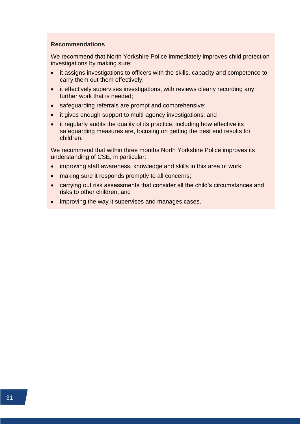#### **Recommendations**

We recommend that North Yorkshire Police immediately improves child protection investigations by making sure:

- it assigns investigations to officers with the skills, capacity and competence to carry them out them effectively;
- it effectively supervises investigations, with reviews clearly recording any further work that is needed;
- safeguarding referrals are prompt and comprehensive;
- it gives enough support to multi-agency investigations; and
- it regularly audits the quality of its practice, including how effective its safeguarding measures are, focusing on getting the best end results for children.

We recommend that within three months North Yorkshire Police improves its understanding of CSE, in particular:

- improving staff awareness, knowledge and skills in this area of work;
- making sure it responds promptly to all concerns;
- carrying out risk assessments that consider all the child's circumstances and risks to other children; and
- improving the way it supervises and manages cases.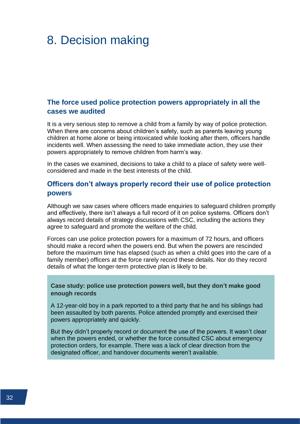# <span id="page-34-0"></span>8. Decision making

# **The force used police protection powers appropriately in all the cases we audited**

It is a very serious step to remove a child from a family by way of police protection. When there are concerns about children's safety, such as parents leaving young children at home alone or being intoxicated while looking after them, officers handle incidents well. When assessing the need to take immediate action, they use their powers appropriately to remove children from harm's way.

In the cases we examined, decisions to take a child to a place of safety were wellconsidered and made in the best interests of the child.

#### **Officers don't always properly record their use of police protection powers**

Although we saw cases where officers made enquiries to safeguard children promptly and effectively, there isn't always a full record of it on police systems. Officers don't always record details of strategy discussions with CSC, including the actions they agree to safeguard and promote the welfare of the child.

Forces can use police protection powers for a maximum of 72 hours, and officers should make a record when the powers end. But when the powers are rescinded before the maximum time has elapsed (such as when a child goes into the care of a family member) officers at the force rarely record these details. Nor do they record details of what the longer-term protective plan is likely to be.

**Case study: police use protection powers well, but they don't make good enough records**

A 12-year-old boy in a park reported to a third party that he and his siblings had been assaulted by both parents. Police attended promptly and exercised their powers appropriately and quickly.

But they didn't properly record or document the use of the powers. It wasn't clear when the powers ended, or whether the force consulted CSC about emergency protection orders, for example. There was a lack of clear direction from the designated officer, and handover documents weren't available.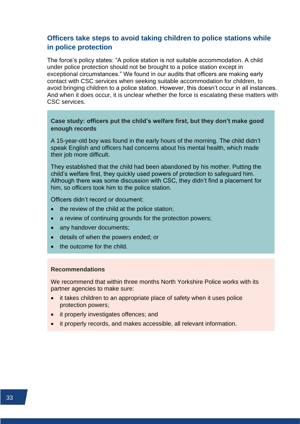# **Officers take steps to avoid taking children to police stations while in police protection**

The force's policy states: "A police station is not suitable accommodation. A child under police protection should not be brought to a police station except in exceptional circumstances." We found in our audits that officers are making early contact with CSC services when seeking suitable accommodation for children, to avoid bringing children to a police station. However, this doesn't occur in all instances. And when it does occur, it is unclear whether the force is escalating these matters with CSC services.

#### **Case study: officers put the child's welfare first, but they don't make good enough records**

A 15-year-old boy was found in the early hours of the morning. The child didn't speak English and officers had concerns about his mental health, which made their job more difficult.

They established that the child had been abandoned by his mother. Putting the child's welfare first, they quickly used powers of protection to safeguard him. Although there was some discussion with CSC, they didn't find a placement for him, so officers took him to the police station.

Officers didn't record or document:

- the review of the child at the police station;
- a review of continuing grounds for the protection powers;
- any handover documents;
- details of when the powers ended; or
- the outcome for the child.

#### **Recommendations**

We recommend that within three months North Yorkshire Police works with its partner agencies to make sure:

- it takes children to an appropriate place of safety when it uses police protection powers;
- it properly investigates offences; and
- it properly records, and makes accessible, all relevant information.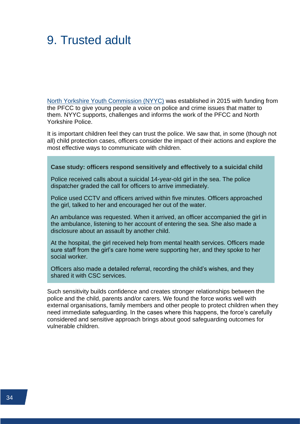# <span id="page-36-0"></span>9. Trusted adult

[North Yorkshire Youth Commission \(NYYC\)](https://www.northyorkshire-pfcc.gov.uk/for-you/young-people/youth/) was established in 2015 with funding from the PFCC to give young people a voice on police and crime issues that matter to them. NYYC supports, challenges and informs the work of the PFCC and North Yorkshire Police.

It is important children feel they can trust the police. We saw that, in some (though not all) child protection cases, officers consider the impact of their actions and explore the most effective ways to communicate with children.

#### **Case study: officers respond sensitively and effectively to a suicidal child**

Police received calls about a suicidal 14-year-old girl in the sea. The police dispatcher graded the call for officers to arrive immediately.

Police used CCTV and officers arrived within five minutes. Officers approached the girl, talked to her and encouraged her out of the water.

An ambulance was requested. When it arrived, an officer accompanied the girl in the ambulance, listening to her account of entering the sea. She also made a disclosure about an assault by another child.

At the hospital, the girl received help from mental health services. Officers made sure staff from the girl's care home were supporting her, and they spoke to her social worker.

Officers also made a detailed referral, recording the child's wishes, and they shared it with CSC services.

Such sensitivity builds confidence and creates stronger relationships between the police and the child, parents and/or carers. We found the force works well with external organisations, family members and other people to protect children when they need immediate safeguarding. In the cases where this happens, the force's carefully considered and sensitive approach brings about good safeguarding outcomes for vulnerable children.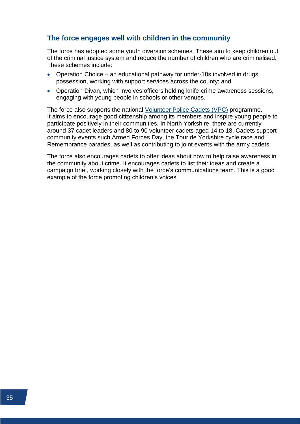### **The force engages well with children in the community**

The force has adopted some youth diversion schemes. These aim to keep children out of the criminal justice system and reduce the number of children who are criminalised. These schemes include:

- Operation Choice an educational pathway for under-18s involved in drugs possession, working with support services across the county; and
- Operation Divan, which involves officers holding knife-crime awareness sessions, engaging with young people in schools or other venues.

The force also supports the national [Volunteer Police Cadets \(VPC\)](https://vpc.police.uk/) programme. It aims to encourage good citizenship among its members and inspire young people to participate positively in their communities. In North Yorkshire, there are currently around 37 cadet leaders and 80 to 90 volunteer cadets aged 14 to 18. Cadets support community events such Armed Forces Day, the Tour de Yorkshire cycle race and Remembrance parades, as well as contributing to joint events with the army cadets.

The force also encourages cadets to offer ideas about how to help raise awareness in the community about crime. It encourages cadets to list their ideas and create a campaign brief, working closely with the force's communications team. This is a good example of the force promoting children's voices.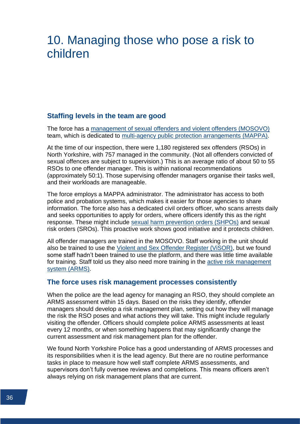# <span id="page-38-0"></span>10. Managing those who pose a risk to children

#### **Staffing levels in the team are good**

The force has a [management of sexual offenders and violent offenders \(MOSOVO\)](https://www.justiceinspectorates.gov.uk/hmicfrs/glossary/management-of-sexual-offenders-and-violent-offenders/) team, which is dedicated to [multi-agency public protection arrangements \(MAPPA\).](https://www.justiceinspectorates.gov.uk/hmicfrs/glossary/mappa/)

At the time of our inspection, there were 1,180 registered sex offenders (RSOs) in North Yorkshire, with 757 managed in the community. (Not all offenders convicted of sexual offences are subject to supervision.) This is an average ratio of about 50 to 55 RSOs to one offender manager. This is within national recommendations (approximately 50:1). Those supervising offender managers organise their tasks well, and their workloads are manageable.

The force employs a MAPPA administrator. The administrator has access to both police and probation systems, which makes it easier for those agencies to share information. The force also has a dedicated civil orders officer, who scans arrests daily and seeks opportunities to apply for orders, where officers identify this as the right response. These might include [sexual harm prevention orders \(SHPOs\)](https://www.justiceinspectorates.gov.uk/hmicfrs/glossary/sexual-harm-prevention-order/) and sexual risk orders (SROs). This proactive work shows good initiative and it protects children.

All offender managers are trained in the MOSOVO. Staff working in the unit should also be trained to use the [Violent and Sex Offender Register \(ViSOR\),](https://www.justiceinspectorates.gov.uk/hmicfrs/glossary/violent-and-sex-offender-register/) but we found some staff hadn't been trained to use the platform, and there was little time available for training. Staff told us they also need more training in the [active risk management](https://www.justiceinspectorates.gov.uk/hmicfrs/glossary/active-risk-management/)  [system \(ARMS\).](https://www.justiceinspectorates.gov.uk/hmicfrs/glossary/active-risk-management/)

#### **The force uses risk management processes consistently**

When the police are the lead agency for managing an RSO, they should complete an ARMS assessment within 15 days. Based on the risks they identify, offender managers should develop a risk management plan, setting out how they will manage the risk the RSO poses and what actions they will take. This might include regularly visiting the offender. Officers should complete police ARMS assessments at least every 12 months, or when something happens that may significantly change the current assessment and risk management plan for the offender.

We found North Yorkshire Police has a good understanding of ARMS processes and its responsibilities when it is the lead agency. But there are no routine performance tasks in place to measure how well staff complete ARMS assessments, and supervisors don't fully oversee reviews and completions. This means officers aren't always relying on risk management plans that are current.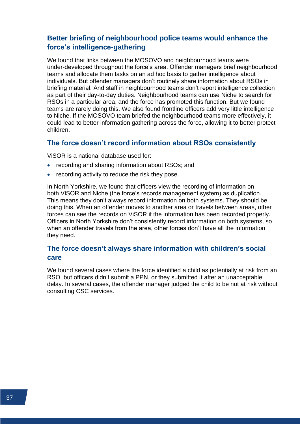# **Better briefing of neighbourhood police teams would enhance the force's intelligence-gathering**

We found that links between the MOSOVO and neighbourhood teams were under-developed throughout the force's area. Offender managers brief neighbourhood teams and allocate them tasks on an ad hoc basis to gather intelligence about individuals. But offender managers don't routinely share information about RSOs in briefing material. And staff in neighbourhood teams don't report intelligence collection as part of their day-to-day duties. Neighbourhood teams can use Niche to search for RSOs in a particular area, and the force has promoted this function. But we found teams are rarely doing this. We also found frontline officers add very little intelligence to Niche. If the MOSOVO team briefed the neighbourhood teams more effectively, it could lead to better information gathering across the force, allowing it to better protect children.

#### **The force doesn't record information about RSOs consistently**

ViSOR is a national database used for:

- recording and sharing information about RSOs; and
- recording activity to reduce the risk they pose.

In North Yorkshire, we found that officers view the recording of information on both ViSOR and Niche (the force's records management system) as duplication. This means they don't always record information on both systems. They should be doing this. When an offender moves to another area or travels between areas, other forces can see the records on ViSOR if the information has been recorded properly. Officers in North Yorkshire don't consistently record information on both systems, so when an offender travels from the area, other forces don't have all the information they need.

#### **The force doesn't always share information with children's social care**

We found several cases where the force identified a child as potentially at risk from an RSO, but officers didn't submit a PPN, or they submitted it after an unacceptable delay. In several cases, the offender manager judged the child to be not at risk without consulting CSC services.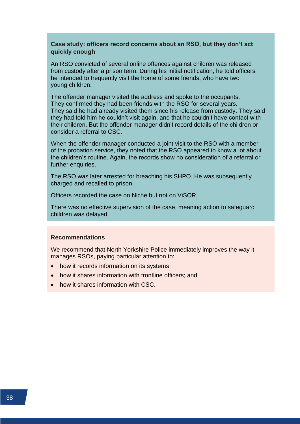**Case study: officers record concerns about an RSO, but they don't act quickly enough**

An RSO convicted of several online offences against children was released from custody after a prison term. During his initial notification, he told officers he intended to frequently visit the home of some friends, who have two young children.

The offender manager visited the address and spoke to the occupants. They confirmed they had been friends with the RSO for several years. They said he had already visited them since his release from custody. They said they had told him he couldn't visit again, and that he couldn't have contact with their children. But the offender manager didn't record details of the children or consider a referral to CSC.

When the offender manager conducted a joint visit to the RSO with a member of the probation service, they noted that the RSO appeared to know a lot about the children's routine. Again, the records show no consideration of a referral or further enquiries.

The RSO was later arrested for breaching his SHPO. He was subsequently charged and recalled to prison.

Officers recorded the case on Niche but not on ViSOR.

There was no effective supervision of the case, meaning action to safeguard children was delayed.

#### **Recommendations**

We recommend that North Yorkshire Police immediately improves the way it manages RSOs, paying particular attention to:

- how it records information on its systems;
- how it shares information with frontline officers; and
- how it shares information with CSC.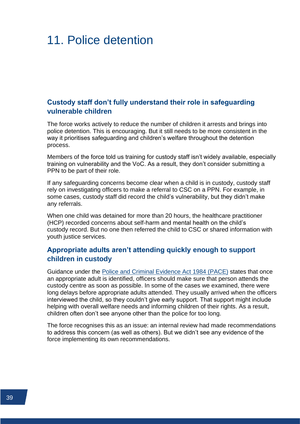# <span id="page-41-0"></span>11. Police detention

### **Custody staff don't fully understand their role in safeguarding vulnerable children**

The force works actively to reduce the number of children it arrests and brings into police detention. This is encouraging. But it still needs to be more consistent in the way it prioritises safeguarding and children's welfare throughout the detention process.

Members of the force told us training for custody staff isn't widely available, especially training on vulnerability and the VoC. As a result, they don't consider submitting a PPN to be part of their role.

If any safeguarding concerns become clear when a child is in custody, custody staff rely on investigating officers to make a referral to CSC on a PPN. For example, in some cases, custody staff did record the child's vulnerability, but they didn't make any referrals.

When one child was detained for more than 20 hours, the healthcare practitioner (HCP) recorded concerns about self-harm and mental health on the child's custody record. But no one then referred the child to CSC or shared information with youth justice services.

### **Appropriate adults aren't attending quickly enough to support children in custody**

Guidance under the [Police and Criminal Evidence Act 1984 \(PACE\)](https://www.legislation.gov.uk/ukpga/1984/60/contents) states that once an appropriate adult is identified, officers should make sure that person attends the custody centre as soon as possible. In some of the cases we examined, there were long delays before appropriate adults attended. They usually arrived when the officers interviewed the child, so they couldn't give early support. That support might include helping with overall welfare needs and informing children of their rights. As a result, children often don't see anyone other than the police for too long.

The force recognises this as an issue: an internal review had made recommendations to address this concern (as well as others). But we didn't see any evidence of the force implementing its own recommendations.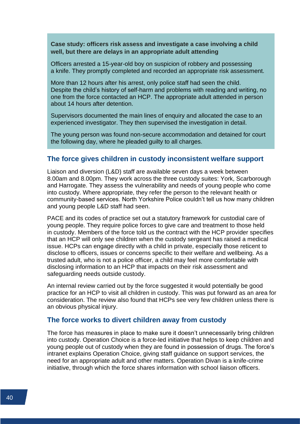**Case study: officers risk assess and investigate a case involving a child well, but there are delays in an appropriate adult attending**

Officers arrested a 15-year-old boy on suspicion of robbery and possessing a knife. They promptly completed and recorded an appropriate risk assessment.

More than 12 hours after his arrest, only police staff had seen the child. Despite the child's history of self-harm and problems with reading and writing, no one from the force contacted an HCP. The appropriate adult attended in person about 14 hours after detention.

Supervisors documented the main lines of enquiry and allocated the case to an experienced investigator. They then supervised the investigation in detail.

The young person was found non-secure accommodation and detained for court the following day, where he pleaded guilty to all charges.

#### **The force gives children in custody inconsistent welfare support**

Liaison and diversion (L&D) staff are available seven days a week between 8.00am and 8.00pm. They work across the three custody suites: York, Scarborough and Harrogate. They assess the vulnerability and needs of young people who come into custody. Where appropriate, they refer the person to the relevant health or community-based services. North Yorkshire Police couldn't tell us how many children and young people L&D staff had seen.

PACE and its codes of practice set out a statutory framework for custodial care of young people. They require police forces to give care and treatment to those held in custody. Members of the force told us the contract with the HCP provider specifies that an HCP will only see children when the custody sergeant has raised a medical issue. HCPs can engage directly with a child in private, especially those reticent to disclose to officers, issues or concerns specific to their welfare and wellbeing. As a trusted adult, who is not a police officer, a child may feel more comfortable with disclosing information to an HCP that impacts on their risk assessment and safeguarding needs outside custody.

An internal review carried out by the force suggested it would potentially be good practice for an HCP to visit all children in custody. This was put forward as an area for consideration. The review also found that HCPs see very few children unless there is an obvious physical injury.

#### **The force works to divert children away from custody**

The force has measures in place to make sure it doesn't unnecessarily bring children into custody. Operation Choice is a force-led initiative that helps to keep children and young people out of custody when they are found in possession of drugs. The force's intranet explains Operation Choice, giving staff guidance on support services, the need for an appropriate adult and other matters. Operation Divan is a knife-crime initiative, through which the force shares information with school liaison officers.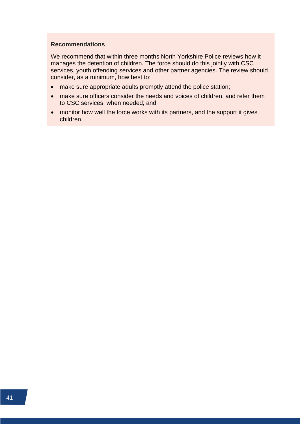#### **Recommendations**

We recommend that within three months North Yorkshire Police reviews how it manages the detention of children. The force should do this jointly with CSC services, youth offending services and other partner agencies. The review should consider, as a minimum, how best to:

- make sure appropriate adults promptly attend the police station;
- make sure officers consider the needs and voices of children, and refer them to CSC services, when needed; and
- monitor how well the force works with its partners, and the support it gives children.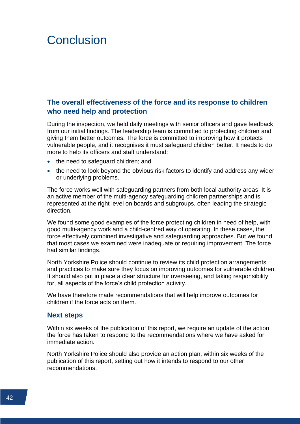# <span id="page-44-0"></span>**Conclusion**

# <span id="page-44-1"></span>**The overall effectiveness of the force and its response to children who need help and protection**

During the inspection, we held daily meetings with senior officers and gave feedback from our initial findings. The leadership team is committed to protecting children and giving them better outcomes. The force is committed to improving how it protects vulnerable people, and it recognises it must safeguard children better. It needs to do more to help its officers and staff understand:

- the need to safeguard children; and
- the need to look beyond the obvious risk factors to identify and address any wider or underlying problems.

The force works well with safeguarding partners from both local authority areas. It is an active member of the multi-agency safeguarding children partnerships and is represented at the right level on boards and subgroups, often leading the strategic direction.

We found some good examples of the force protecting children in need of help, with good multi-agency work and a child-centred way of operating. In these cases, the force effectively combined investigative and safeguarding approaches. But we found that most cases we examined were inadequate or requiring improvement. The force had similar findings.

North Yorkshire Police should continue to review its child protection arrangements and practices to make sure they focus on improving outcomes for vulnerable children. It should also put in place a clear structure for overseeing, and taking responsibility for, all aspects of the force's child protection activity.

We have therefore made recommendations that will help improve outcomes for children if the force acts on them.

#### <span id="page-44-2"></span>**Next steps**

Within six weeks of the publication of this report, we require an update of the action the force has taken to respond to the recommendations where we have asked for immediate action.

North Yorkshire Police should also provide an action plan, within six weeks of the publication of this report, setting out how it intends to respond to our other recommendations.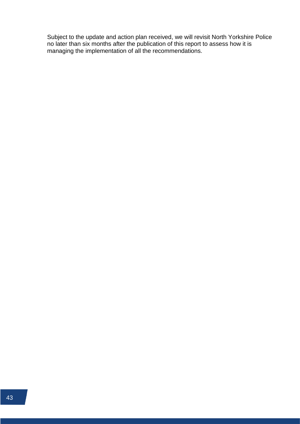Subject to the update and action plan received, we will revisit North Yorkshire Police no later than six months after the publication of this report to assess how it is managing the implementation of all the recommendations.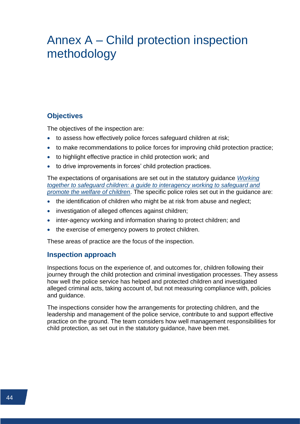# <span id="page-46-0"></span>Annex A – Child protection inspection methodology

# **Objectives**

The objectives of the inspection are:

- to assess how effectively police forces safeguard children at risk;
- to make recommendations to police forces for improving child protection practice;
- to highlight effective practice in child protection work; and
- to drive improvements in forces' child protection practices.

The expectations of organisations are set out in the statutory guidance *[Working](https://www.gov.uk/government/publications/working-together-to-safeguard-children--2)  [together to safeguard children: a guide to interagency working to safeguard and](https://www.gov.uk/government/publications/working-together-to-safeguard-children--2)  [promote the welfare of children](https://www.gov.uk/government/publications/working-together-to-safeguard-children--2)*. The specific police roles set out in the guidance are:

- the identification of children who might be at risk from abuse and neglect;
- investigation of alleged offences against children;
- inter-agency working and information sharing to protect children; and
- the exercise of emergency powers to protect children.

These areas of practice are the focus of the inspection.

#### **Inspection approach**

Inspections focus on the experience of, and outcomes for, children following their journey through the child protection and criminal investigation processes. They assess how well the police service has helped and protected children and investigated alleged criminal acts, taking account of, but not measuring compliance with, policies and guidance.

The inspections consider how the arrangements for protecting children, and the leadership and management of the police service, contribute to and support effective practice on the ground. The team considers how well management responsibilities for child protection, as set out in the statutory guidance, have been met.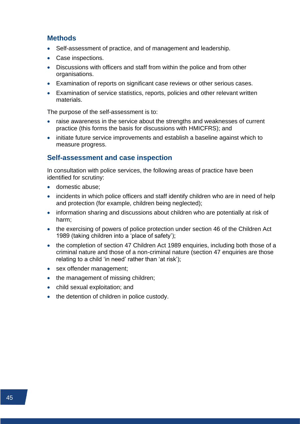#### **Methods**

- Self-assessment of practice, and of management and leadership.
- Case inspections.
- Discussions with officers and staff from within the police and from other organisations.
- Examination of reports on significant case reviews or other serious cases.
- Examination of service statistics, reports, policies and other relevant written materials.

The purpose of the self-assessment is to:

- raise awareness in the service about the strengths and weaknesses of current practice (this forms the basis for discussions with HMICFRS); and
- initiate future service improvements and establish a baseline against which to measure progress.

#### **Self-assessment and case inspection**

In consultation with police services, the following areas of practice have been identified for scrutiny:

- domestic abuse;
- incidents in which police officers and staff identify children who are in need of help and protection (for example, children being neglected);
- information sharing and discussions about children who are potentially at risk of harm;
- the exercising of powers of police protection under section 46 of the Children Act 1989 (taking children into a 'place of safety');
- the completion of section 47 Children Act 1989 enquiries, including both those of a criminal nature and those of a non-criminal nature (section 47 enquiries are those relating to a child 'in need' rather than 'at risk');
- sex offender management;
- the management of missing children;
- child sexual exploitation; and
- the detention of children in police custody.